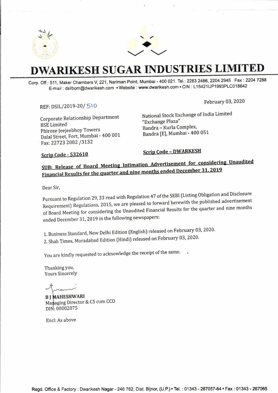



# **DWARIKESH SUGAR INDUSTRIES LIMITED**

Corp. Off.: 511, Maker Chambers V, 221, Nariman Point, Mumbai - 400 021. Tel.: 2283 2486, 2204 2945 Fax : 2204 7288 E-mail : dsilbom@dwarikesh.com • Website : www.dwarikesh.com • CIN : L 15421UP1993PLC018642

### REF: DSIL/2019-20/ 5 \ **<sup>0</sup>**

February 03, 2020

Corporate Relationship Department BSE Limited Phiroze Jeejeebhoy Towers Dalal Street, Fort, Mumbai - 400 001 · Fax: 22723 2082 /3132

National Stock Exchange of India Limited "Exchange Plaza" Bandra - Kurla Complex, Bandra [E], Mumbai- 400 051

### **Scrip Code - 532610**

**Scrip Code - DWARKESH** 

# SUB: Release of Board Meeting Intimation Advertisement for considering Unaudited<br>Financial Results for the quarter and nine months ended December 31, 2019

Dear Sir,

Pursuant to Regulation 29, 33 read with Regulation 47 of the SEBI (Listing Obligation and Disclosure Requirement) Regulations, 2015, we are pleased to forward herewith the published advertisement of Board Meeting for considering the Unaudited Financial Results for the quarter and nine months ended December 31, 2019 in the following newspapers:

1. Business Standard, New Delhi Edition (English) released on February 03, 2020. 2. Shah Times, Moradabad Edition (Hindi) released on February 03, 2020.

You are kindly requested to acknowledge the receipt of the same.

Thanking you, Yours Sincerely

.,.......,,...

**B J MAHESHWARI** Managing Director & CS cum CCO DIN: 00002075

Encl: As above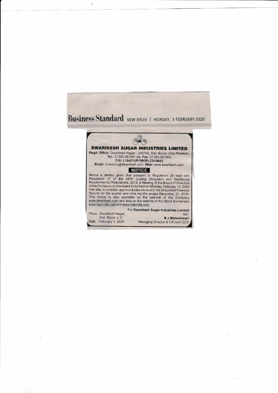



. /